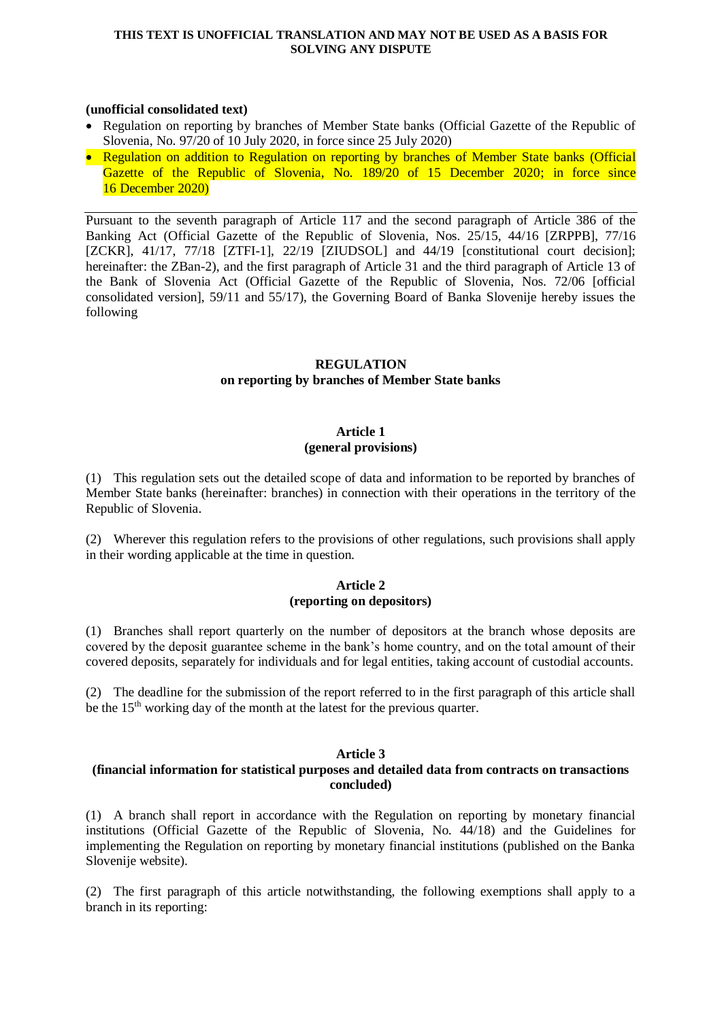#### **THIS TEXT IS UNOFFICIAL TRANSLATION AND MAY NOT BE USED AS A BASIS FOR SOLVING ANY DISPUTE**

### **(unofficial consolidated text)**

- Regulation on reporting by branches of Member State banks (Official Gazette of the Republic of Slovenia, No. 97/20 of 10 July 2020, in force since 25 July 2020)
- Regulation on addition to Regulation on reporting by branches of Member State banks (Official Gazette of the Republic of Slovenia, No. 189/20 of 15 December 2020; in force since 16 December 2020)

Pursuant to the seventh paragraph of Article 117 and the second paragraph of Article 386 of the Banking Act (Official Gazette of the Republic of Slovenia, Nos. 25/15, 44/16 [ZRPPB], 77/16 [ZCKR], 41/17, [77/18](http://www.uradni-list.si/1/objava.jsp?sop=2018-01-3751) [ZTFI-1], [22/19](http://www.uradni-list.si/1/objava.jsp?sop=2019-01-0916) [ZIUDSOL] and [44/19](http://www.uradni-list.si/1/objava.jsp?sop=2019-01-2011) [constitutional court decision]; hereinafter: the ZBan-2), and the first paragraph of Article 31 and the third paragraph of Article 13 of the Bank of Slovenia Act (Official Gazette of the Republic of Slovenia, Nos. 72/06 [official consolidated version], 59/11 and 55/17), the Governing Board of Banka Slovenije hereby issues the following

# **REGULATION**

# **on reporting by branches of Member State banks**

# **Article 1 (general provisions)**

(1) This regulation sets out the detailed scope of data and information to be reported by branches of Member State banks (hereinafter: branches) in connection with their operations in the territory of the Republic of Slovenia.

(2) Wherever this regulation refers to the provisions of other regulations, such provisions shall apply in their wording applicable at the time in question.

## **Article 2 (reporting on depositors)**

(1) Branches shall report quarterly on the number of depositors at the branch whose deposits are covered by the deposit guarantee scheme in the bank's home country, and on the total amount of their covered deposits, separately for individuals and for legal entities, taking account of custodial accounts.

(2) The deadline for the submission of the report referred to in the first paragraph of this article shall be the  $15<sup>th</sup>$  working day of the month at the latest for the previous quarter.

## **Article 3**

# **(financial information for statistical purposes and detailed data from contracts on transactions concluded)**

(1) A branch shall report in accordance with the Regulation on reporting by monetary financial institutions (Official Gazette of the Republic of Slovenia, No. 44/18) and the Guidelines for implementing the Regulation on reporting by monetary financial institutions (published on the Banka Slovenije website).

(2) The first paragraph of this article notwithstanding, the following exemptions shall apply to a branch in its reporting: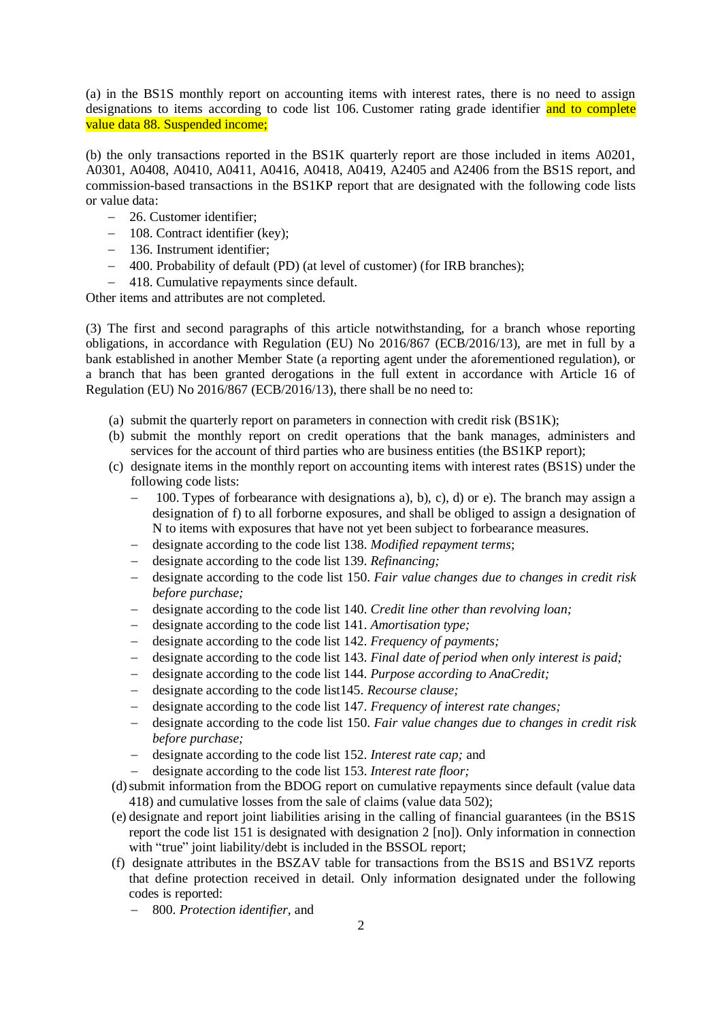(a) in the BS1S monthly report on accounting items with interest rates, there is no need to assign designations to items according to code list 106. Customer rating grade identifier and to complete value data 88. Suspended income;

(b) the only transactions reported in the BS1K quarterly report are those included in items A0201, A0301, A0408, A0410, A0411, A0416, A0418, A0419, A2405 and A2406 from the BS1S report, and commission-based transactions in the BS1KP report that are designated with the following code lists or value data:

- 26. Customer identifier;
- 108. Contract identifier (key):
- 136. Instrument identifier;
- 400. Probability of default (PD) (at level of customer) (for IRB branches);
- 418. Cumulative repayments since default.

Other items and attributes are not completed.

(3) The first and second paragraphs of this article notwithstanding, for a branch whose reporting obligations, in accordance with Regulation (EU) No 2016/867 (ECB/2016/13), are met in full by a bank established in another Member State (a reporting agent under the aforementioned regulation), or a branch that has been granted derogations in the full extent in accordance with Article 16 of Regulation (EU) No 2016/867 (ECB/2016/13), there shall be no need to:

- (a) submit the quarterly report on parameters in connection with credit risk (BS1K);
- (b) submit the monthly report on credit operations that the bank manages, administers and services for the account of third parties who are business entities (the BS1KP report);
- (c) designate items in the monthly report on accounting items with interest rates (BS1S) under the following code lists:
	- 100. Types of forbearance with designations a), b), c), d) or e). The branch may assign a designation of f) to all forborne exposures, and shall be obliged to assign a designation of N to items with exposures that have not yet been subject to forbearance measures.
	- designate according to the code list 138. *Modified repayment terms*;
	- designate according to the code list 139. *Refinancing;*
	- designate according to the code list 150. *Fair value changes due to changes in credit risk before purchase;*
	- designate according to the code list 140. *Credit line other than revolving loan;*
	- designate according to the code list 141. *Amortisation type;*
	- designate according to the code list 142. *Frequency of payments;*
	- designate according to the code list 143. *Final date of period when only interest is paid;*
	- designate according to the code list 144. *Purpose according to AnaCredit;*
	- designate according to the code list145. *Recourse clause;*
	- designate according to the code list 147. *Frequency of interest rate changes;*
	- designate according to the code list 150. *Fair value changes due to changes in credit risk before purchase;*
	- designate according to the code list 152. *Interest rate cap;* and
	- designate according to the code list 153. *Interest rate floor;*
- (d)submit information from the BDOG report on cumulative repayments since default (value data 418) and cumulative losses from the sale of claims (value data 502);
- (e) designate and report joint liabilities arising in the calling of financial guarantees (in the BS1S report the code list 151 is designated with designation 2 [no]). Only information in connection with "true" joint liability/debt is included in the BSSOL report;
- (f) designate attributes in the BSZAV table for transactions from the BS1S and BS1VZ reports that define protection received in detail. Only information designated under the following codes is reported:
	- 800. *Protection identifier,* and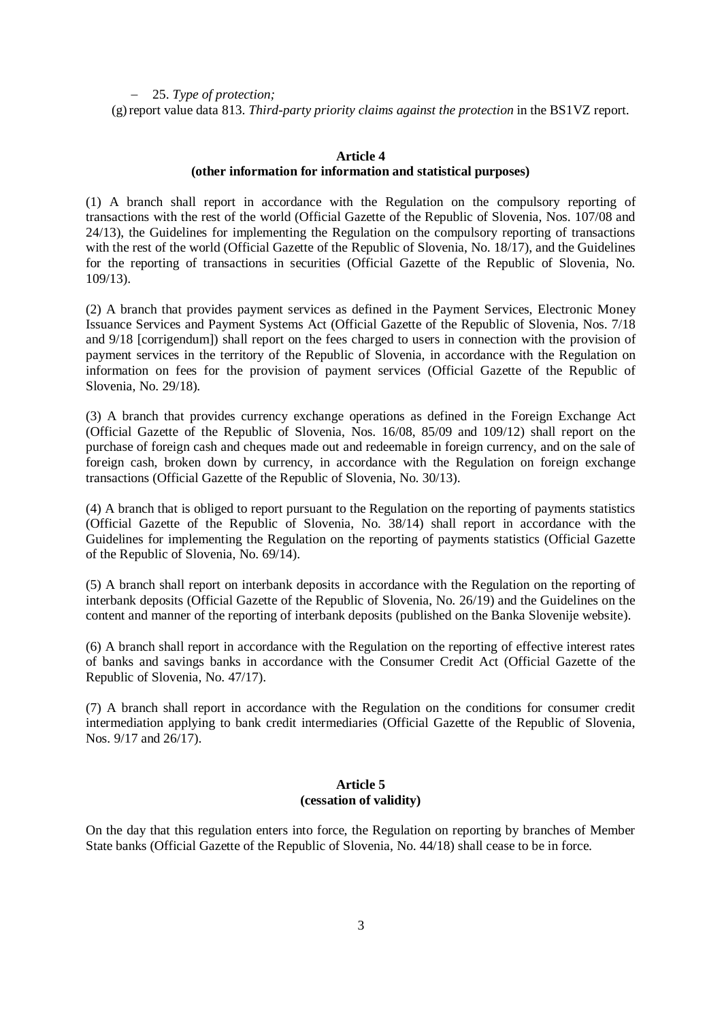25. *Type of protection;* (g)report value data 813. *Third-party priority claims against the protection* in the BS1VZ report.

### **Article 4 (other information for information and statistical purposes)**

(1) A branch shall report in accordance with the Regulation on the compulsory reporting of transactions with the rest of the world (Official Gazette of the Republic of Slovenia, Nos. 107/08 and 24/13), the Guidelines for implementing the Regulation on the compulsory reporting of transactions with the rest of the world (Official Gazette of the Republic of Slovenia, No. 18/17), and the Guidelines for the reporting of transactions in securities (Official Gazette of the Republic of Slovenia, No. 109/13).

(2) A branch that provides payment services as defined in the Payment Services, Electronic Money Issuance Services and Payment Systems Act (Official Gazette of the Republic of Slovenia, Nos. 7/18 and 9/18 [corrigendum]) shall report on the fees charged to users in connection with the provision of payment services in the territory of the Republic of Slovenia, in accordance with the Regulation on information on fees for the provision of payment services (Official Gazette of the Republic of Slovenia, No. 29/18).

(3) A branch that provides currency exchange operations as defined in the Foreign Exchange Act (Official Gazette of the Republic of Slovenia, Nos. 16/08, 85/09 and 109/12) shall report on the purchase of foreign cash and cheques made out and redeemable in foreign currency, and on the sale of foreign cash, broken down by currency, in accordance with the Regulation on foreign exchange transactions (Official Gazette of the Republic of Slovenia, No. 30/13).

(4) A branch that is obliged to report pursuant to the Regulation on the reporting of payments statistics (Official Gazette of the Republic of Slovenia, No. 38/14) shall report in accordance with the Guidelines for implementing the Regulation on the reporting of payments statistics (Official Gazette of the Republic of Slovenia, No. 69/14).

(5) A branch shall report on interbank deposits in accordance with the Regulation on the reporting of interbank deposits (Official Gazette of the Republic of Slovenia, No. 26/19) and the Guidelines on the content and manner of the reporting of interbank deposits (published on the Banka Slovenije website).

(6) A branch shall report in accordance with the Regulation on the reporting of effective interest rates of banks and savings banks in accordance with the Consumer Credit Act (Official Gazette of the Republic of Slovenia, No. 47/17).

(7) A branch shall report in accordance with the Regulation on the conditions for consumer credit intermediation applying to bank credit intermediaries (Official Gazette of the Republic of Slovenia, Nos. 9/17 and 26/17).

### **Article 5 (cessation of validity)**

On the day that this regulation enters into force, the Regulation on reporting by branches of Member State banks (Official Gazette of the Republic of Slovenia, No. 44/18) shall cease to be in force.